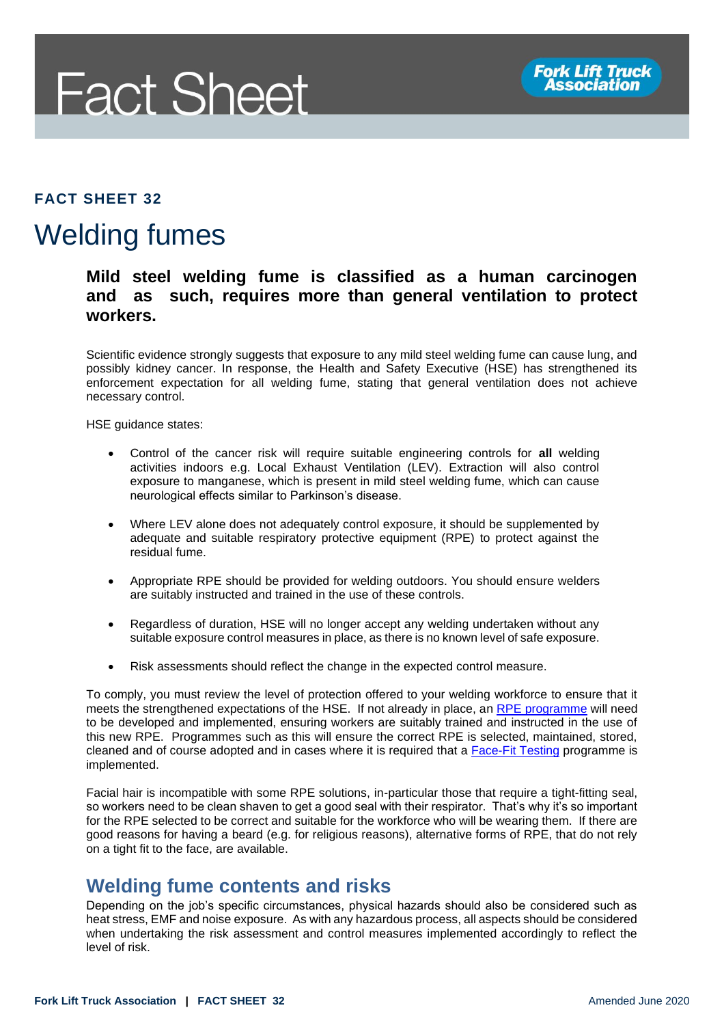

#### **FACT SHEET 32**

# Welding fumes

#### **Mild steel welding fume is classified as a human carcinogen and as such, requires more than general ventilation to protect workers.**

Scientific evidence strongly suggests that exposure to any mild steel welding fume can cause lung, and possibly kidney cancer. In response, the Health and Safety Executive (HSE) has strengthened its enforcement expectation for all welding fume, stating that general ventilation does not achieve necessary control.

HSE guidance states:

- Control of the cancer risk will require suitable engineering controls for **all** welding activities indoors e.g. Local Exhaust Ventilation (LEV). Extraction will also control exposure to manganese, which is present in mild steel welding fume, which can cause neurological effects similar to Parkinson's disease.
- Where LEV alone does not adequately control exposure, it should be supplemented by adequate and suitable respiratory protective equipment (RPE) to protect against the residual fume.
- Appropriate RPE should be provided for welding outdoors. You should ensure welders are suitably instructed and trained in the use of these controls.
- Regardless of duration, HSE will no longer accept any welding undertaken without any suitable exposure control measures in place, as there is no known level of safe exposure.
- Risk assessments should reflect the change in the expected control measure.

To comply, you must review the level of protection offered to your welding workforce to ensure that it meets the strengthened expectations of the HSE. If not already in place, an [RPE programme](https://www.hse.gov.uk/respiratory-protective-equipment/faq.htm) will need to be developed and implemented, ensuring workers are suitably trained and instructed in the use of this new RPE. Programmes such as this will ensure the correct RPE is selected, maintained, stored, cleaned and of course adopted and in cases where it is required that a **Face-Fit Testing programme** is implemented.

Facial hair is incompatible with some RPE solutions, in-particular those that require a tight-fitting seal, so workers need to be clean shaven to get a good seal with their respirator. That's why it's so important for the RPE selected to be correct and suitable for the workforce who will be wearing them. If there are good reasons for having a beard (e.g. for religious reasons), alternative forms of RPE, that do not rely on a tight fit to the face, are available.

### **Welding fume contents and risks**

Depending on the job's specific circumstances, physical hazards should also be considered such as heat stress, EMF and noise exposure. As with any hazardous process, all aspects should be considered when undertaking the risk assessment and control measures implemented accordingly to reflect the level of risk.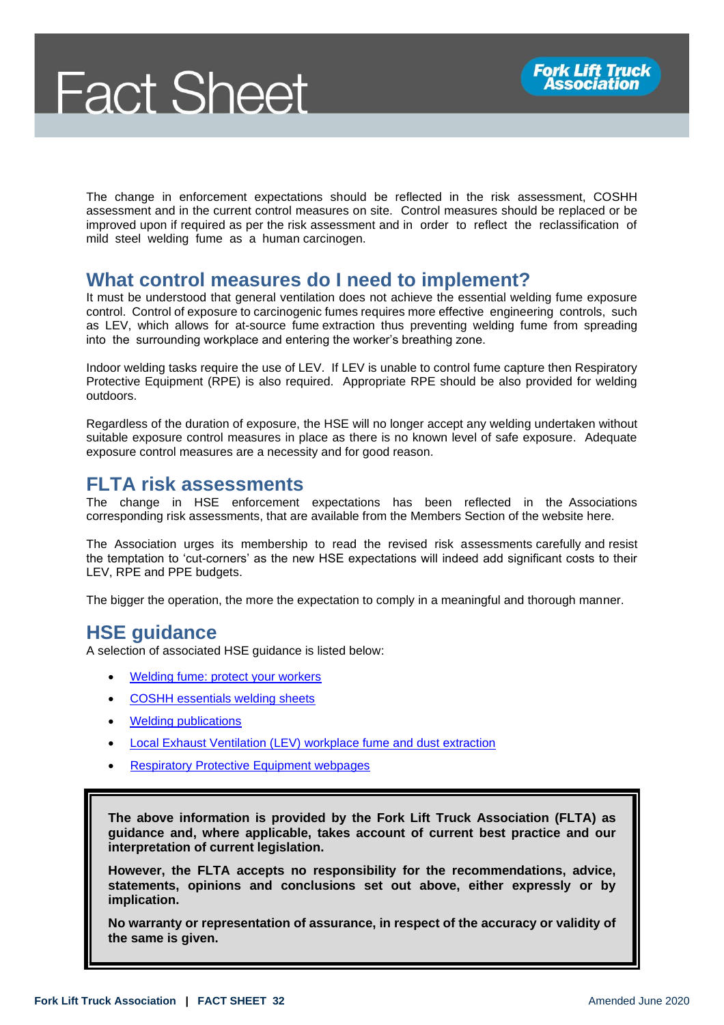The change in enforcement expectations should be reflected in the risk assessment, COSHH assessment and in the current control measures on site. Control measures should be replaced or be improved upon if required as per the risk assessment and in order to reflect the reclassification of mild steel welding fume as a human carcinogen.

### **What control measures do I need to implement?**

It must be understood that general ventilation does not achieve the essential welding fume exposure control. Control of exposure to carcinogenic fumes requires more effective engineering controls, such as LEV, which allows for at-source fume extraction thus preventing welding fume from spreading into the surrounding workplace and entering the worker's breathing zone.

Indoor welding tasks require the use of LEV. If LEV is unable to control fume capture then Respiratory Protective Equipment (RPE) is also required. Appropriate RPE should be also provided for welding outdoors.

Regardless of the duration of exposure, the HSE will no longer accept any welding undertaken without suitable exposure control measures in place as there is no known level of safe exposure. Adequate exposure control measures are a necessity and for good reason.

## **FLTA risk assessments**

The change in HSE enforcement expectations has been reflected in the Associations corresponding risk assessments, that are available from the Members Section of the website here.

The Association urges its membership to read the revised risk assessments carefully and resist the temptation to 'cut-corners' as the new HSE expectations will indeed add significant costs to their LEV, RPE and PPE budgets.

The bigger the operation, the more the expectation to comply in a meaningful and thorough manner.

## **HSE guidance**

A selection of associated HSE guidance is listed below:

- [Welding fume: protect your workers](https://www.hse.gov.uk/welding/protect-your-workers/index.htm)
- [COSHH essentials welding sheets](https://www.hse.gov.uk/welding/guidance/index.htm)
- [Welding publications](https://www.hse.gov.uk/welding/publications.htm)
- Local Exhaust Ventilation (LEV) [workplace fume and dust extraction](https://www.hse.gov.uk/lev/)
- **[Respiratory Protective Equipment webpages](https://www.hse.gov.uk/respiratory-protective-equipment/)**

**The above information is provided by the Fork Lift Truck Association (FLTA) as guidance and, where applicable, takes account of current best practice and our interpretation of current legislation.** 

**However, the FLTA accepts no responsibility for the recommendations, advice, statements, opinions and conclusions set out above, either expressly or by implication.**

**No warranty or representation of assurance, in respect of the accuracy or validity of the same is given.**